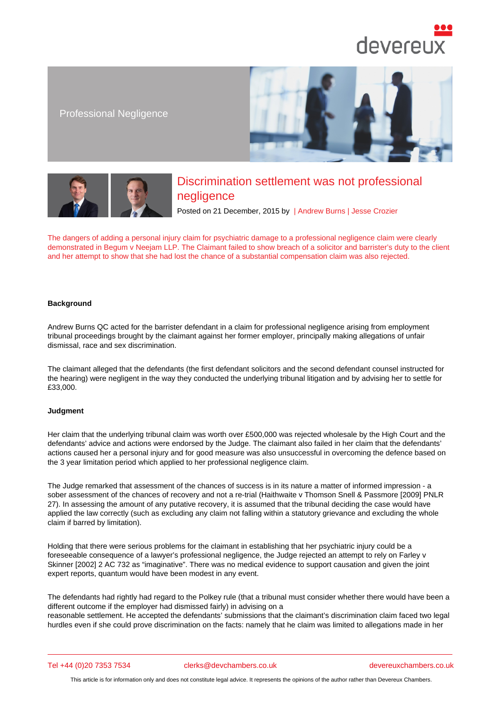Professional Negligence

## Discrimination settlement was not professional negligence

Posted on 21 December, 2015 by | Andrew Burns | Jesse Crozier

The dangers of adding a personal injury claim for psychiatric damage to a professional negligence claim were clearly demonstrated in Begum v Neejam LLP. The Claimant failed to show breach of a solicitor and barrister's duty to the client and her attempt to show that she had lost the chance of a substantial com[pensation claim](/barristers/profile/andrew-burns) [was also reject](/barristers/profile/jesse-crozier)ed.

## Background

Andrew Burns QC acted for the barrister defendant in a claim for professional negligence arising from employment tribunal proceedings brought by the claimant against her former employer, principally making allegations of unfair dismissal, race and sex discrimination.

The claimant alleged that the defendants (the first defendant solicitors and the second defendant counsel instructed for the hearing) were negligent in the way they conducted the underlying tribunal litigation and by advising her to settle for £33,000.

## **Judgment**

Her claim that the underlying tribunal claim was worth over £500,000 was rejected wholesale by the High Court and the defendants' advice and actions were endorsed by the Judge. The claimant also failed in her claim that the defendants' actions caused her a personal injury and for good measure was also unsuccessful in overcoming the defence based on the 3 year limitation period which applied to her professional negligence claim.

The Judge remarked that assessment of the chances of success is in its nature a matter of informed impression - a sober assessment of the chances of recovery and not a re-trial (Haithwaite v Thomson Snell & Passmore [2009] PNLR 27). In assessing the amount of any putative recovery, it is assumed that the tribunal deciding the case would have applied the law correctly (such as excluding any claim not falling within a statutory grievance and excluding the whole claim if barred by limitation).

Holding that there were serious problems for the claimant in establishing that her psychiatric injury could be a foreseeable consequence of a lawyer's professional negligence, the Judge rejected an attempt to rely on Farley v Skinner [2002] 2 AC 732 as "imaginative". There was no medical evidence to support causation and given the joint expert reports, quantum would have been modest in any event.

The defendants had rightly had regard to the Polkey rule (that a tribunal must consider whether there would have been a different outcome if the employer had dismissed fairly) in advising on a reasonable settlement. He accepted the defendants' submissions that the claimant's discrimination claim faced two legal hurdles even if she could prove discrimination on the facts: namely that he claim was limited to allegations made in her

Tel +44 (0)20 7353 7534 clerks@devchambers.co.uk devereuxchambers.co.uk

This article is for information only and does not constitute legal advice. It represents the opinions of the author rather than Devereux Chambers.